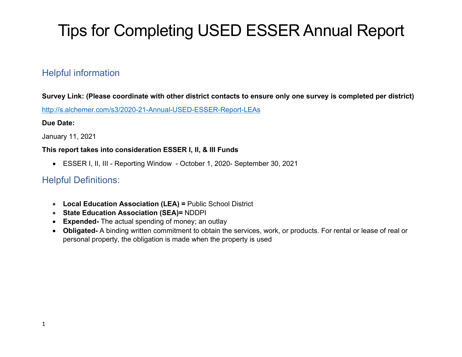# Tips for Completing USED ESSER Annual Report

## Helpful information

Survey Link: (Please coordinate with other district contacts to ensure only one survey is completed per district)

<http://s.alchemer.com/s3/2020-21-Annual-USED-ESSER-Report-LEAs>

#### Due Date:

January 11, 2021

#### This report takes into consideration ESSER I, II, & III Funds

ESSER I, II, III - Reporting Window - October 1, 2020- September 30, 2021

#### Helpful Definitions:

- Local Education Association (LEA) = Public School District
- **State Education Association (SEA)= NDDPI**
- Expended- The actual spending of money; an outlay
- Obligated- A binding written commitment to obtain the services, work, or products. For rental or lease of real or personal property, the obligation is made when the property is used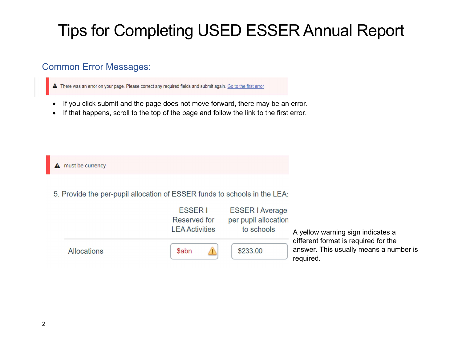# Tips for Completing USED ESSER Annual Report

### Common Error Messages:

A There was an error on your page. Please correct any required fields and submit again. Go to the first error

- If you click submit and the page does not move forward, there may be an error.
- If that happens, scroll to the top of the page and follow the link to the first error.

 $\triangle$  must be currency

5. Provide the per-pupil allocation of ESSER funds to schools in the LEA:

|             | <b>ESSERI</b><br>Reserved for<br><b>LEA Activities</b> | <b>ESSER   Average</b><br>per pupil allocation<br>to schools |                                                                                                                                  |
|-------------|--------------------------------------------------------|--------------------------------------------------------------|----------------------------------------------------------------------------------------------------------------------------------|
| Allocations | <b>Sabn</b>                                            | \$233.00                                                     | A yellow warning sign indicates a<br>different format is required for the<br>answer. This usually means a number is<br>required. |